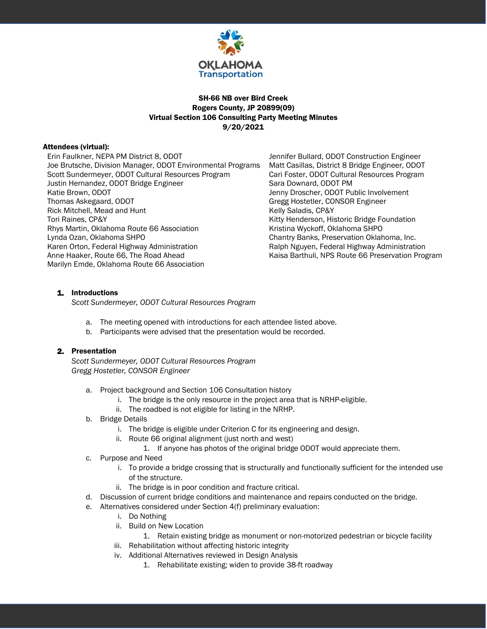

# SH-66 NB over Bird Creek Rogers County, JP 20899(09) Virtual Section 106 Consulting Party Meeting Minutes 9/20/2021

#### Attendees (virtual):

Erin Faulkner, NEPA PM District 8, ODOT Jennifer Bullard, ODOT Construction Engineer Joe Brutsche, Division Manager, ODOT Environmental Programs Matt Casillas, District 8 Bridge Engineer, ODOT Scott Sundermeyer, ODOT Cultural Resources Program Cari Foster, ODOT Cultural Resources Program Justin Hernandez, ODOT Bridge Engineer Sara Downard, ODOT PM Katie Brown, ODOT **All and Strong Controls and Strong Jenny Droscher, ODOT Public Involvement** Thomas Askegaard, ODOT **Greeg Hostetler, CONSOR Engineer** Rick Mitchell, Mead and Hunt **Kelly Saladis, CP&Y** Tori Raines, CP&Y **Kitty Henderson, Historic Bridge Foundation** Rhys Martin, Oklahoma Route 66 Association New Yorkistina Wyckoff, Oklahoma SHPO Lynda Ozan, Oklahoma SHPO Chantry Banks, Preservation Oklahoma, Inc. Karen Orton, Federal Highway Administration **Ralph Nguyen, Federal Highway Administration** Anne Haaker, Route 66, The Road Ahead Kaisa Barthuli, NPS Route 66 Preservation Program Marilyn Emde, Oklahoma Route 66 Association

## 1. Introductions

*Scott Sundermeyer, ODOT Cultural Resources Program*

- a. The meeting opened with introductions for each attendee listed above.
- b. Participants were advised that the presentation would be recorded.

#### 2. Presentation

*Scott Sundermeyer, ODOT Cultural Resources Program Gregg Hostetler, CONSOR Engineer*

- a. Project background and Section 106 Consultation history
	- i. The bridge is the only resource in the project area that is NRHP-eligible.
	- ii. The roadbed is not eligible for listing in the NRHP.
- b. Bridge Details
	- i. The bridge is eligible under Criterion C for its engineering and design.
	- ii. Route 66 original alignment (just north and west)
		- 1. If anyone has photos of the original bridge ODOT would appreciate them.
- c. Purpose and Need
	- i. To provide a bridge crossing that is structurally and functionally sufficient for the intended use of the structure.
	- ii. The bridge is in poor condition and fracture critical.
- d. Discussion of current bridge conditions and maintenance and repairs conducted on the bridge.
- e. Alternatives considered under Section 4(f) preliminary evaluation:
	- i. Do Nothing
	- ii. Build on New Location
	- 1. Retain existing bridge as monument or non-motorized pedestrian or bicycle facility
	- iii. Rehabilitation without affecting historic integrity
	- iv. Additional Alternatives reviewed in Design Analysis
		- 1. Rehabilitate existing; widen to provide 38-ft roadway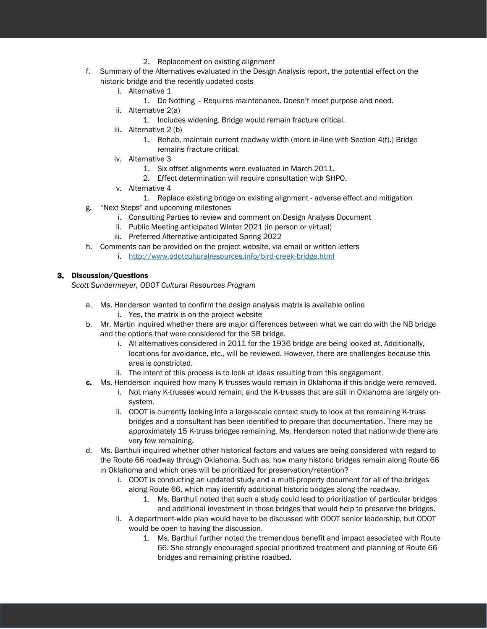- 2. Replacement on existing alignment
- f. Summary of the Alternatives evaluated in the Design Analysis report, the potential effect on the historic bridge and the recently updated costs
	- i. Alternative 1
		- 1. Do Nothing Requires maintenance. Doesn't meet purpose and need.
	- ii. Alternative 2(a)
		- 1. Includes widening. Bridge would remain fracture critical.
	- iii. Alternative 2 (b)
		- 1. Rehab, maintain current roadway width (more in-line with Section 4(f).) Bridge remains fracture critical.
	- iv. Alternative 3
		- 1. Six offset alignments were evaluated in March 2011.
		- 2. Effect determination will require consultation with SHPO.
	- v. Alternative 4
		- 1. Replace existing bridge on existing alignment adverse effect and mitigation
- g. "Next Steps" and upcoming milestones
	- i. Consulting Parties to review and comment on Design Analysis Document
	- ii. Public Meeting anticipated Winter 2021 (in person or virtual)
	- iii. Preferred Alternative anticipated Spring 2022
- h. Comments can be provided on the project website, via email or written letters
	- i. <http://www.odotculturalresources.info/bird-creek-bridge.html>

#### 3. Discussion/Questions

*Scott Sundermeyer, ODOT Cultural Resources Program*

- a. Ms. Henderson wanted to confirm the design analysis matrix is available online i. Yes, the matrix is on the project website
- b. Mr. Martin inquired whether there are major differences between what we can do with the NB bridge and the options that were considered for the SB bridge.
	- i. All alternatives considered in 2011 for the 1936 bridge are being looked at. Additionally, locations for avoidance, etc., will be reviewed. However, there are challenges because this area is constricted.
	- ii. The intent of this process is to look at ideas resulting from this engagement.
- c. Ms. Henderson inquired how many K-trusses would remain in Oklahoma if this bridge were removed.
	- i. Not many K-trusses would remain, and the K-trusses that are still in Oklahoma are largely onsystem.
	- ii. ODOT is currently looking into a large-scale context study to look at the remaining K-truss bridges and a consultant has been identified to prepare that documentation. There may be approximately 15 K-truss bridges remaining. Ms. Henderson noted that nationwide there are very few remaining.
- d. Ms. Barthuli inquired whether other historical factors and values are being considered with regard to the Route 66 roadway through Oklahoma. Such as, how many historic bridges remain along Route 66 in Oklahoma and which ones will be prioritized for preservation/retention?
	- i. ODOT is conducting an updated study and a multi-property document for all of the bridges along Route 66, which may identify additional historic bridges along the roadway.
		- 1. Ms. Barthuli noted that such a study could lead to prioritization of particular bridges and additional investment in those bridges that would help to preserve the bridges.
	- ii. A department-wide plan would have to be discussed with ODOT senior leadership, but ODOT would be open to having the discussion.
		- 1. Ms. Barthuli further noted the tremendous benefit and impact associated with Route 66. She strongly encouraged special prioritized treatment and planning of Route 66 bridges and remaining pristine roadbed.